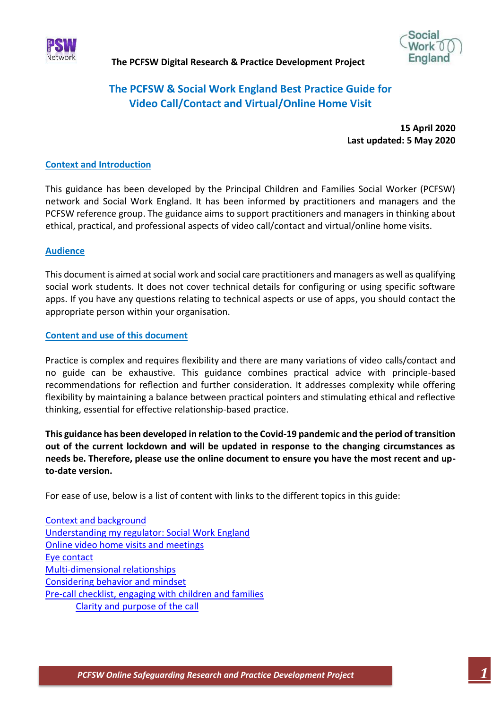



# **The PCFSW & Social Work England Best Practice Guide for Video Call/Contact and Virtual/Online Home Visit**

**15 April 2020 Last updated: 5 May 2020**

## **Context and Introduction**

This guidance has been developed by the Principal Children and Families Social Worker (PCFSW) network and Social Work England. It has been informed by practitioners and managers and the PCFSW reference group. The guidance aims to support practitioners and managers in thinking about ethical, practical, and professional aspects of video call/contact and virtual/online home visits.

## **Audience**

This document is aimed at social work and social care practitioners and managers as well as qualifying social work students. It does not cover technical details for configuring or using specific software apps. If you have any questions relating to technical aspects or use of apps, you should contact the appropriate person within your organisation.

## **Content and use of this document**

Practice is complex and requires flexibility and there are many variations of video calls/contact and no guide can be exhaustive. This guidance combines practical advice with principle-based recommendations for reflection and further consideration. It addresses complexity while offering flexibility by maintaining a balance between practical pointers and stimulating ethical and reflective thinking, essential for effective relationship-based practice.

**This guidance has been developed in relation to the Covid-19 pandemic and the period of transition out of the current lockdown and will be updated in response to the changing circumstances as needs be. Therefore, please use the online document to ensure you have the most recent and upto-date version.**

For ease of use, below is a list of content with links to the different topics in this guide:

| <b>Context and background</b>                           |
|---------------------------------------------------------|
| Understanding my regulator: Social Work England         |
| Online video home visits and meetings                   |
| Eye contact                                             |
| Multi-dimensional relationships                         |
| Considering behavior and mindset                        |
| Pre-call checklist, engaging with children and families |
| Clarity and purpose of the call                         |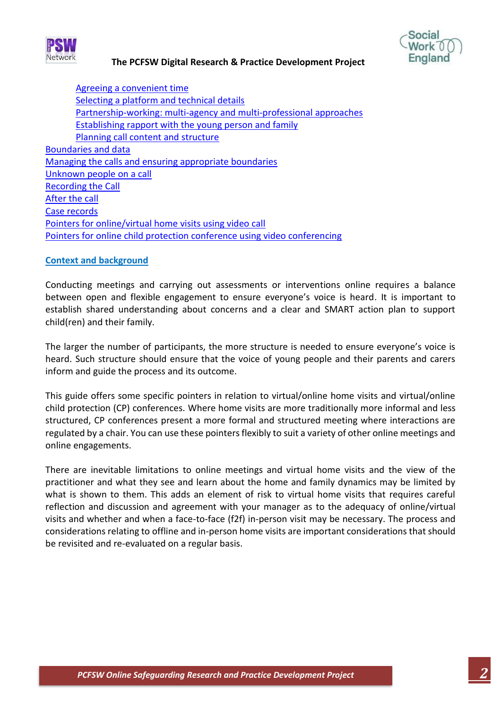



Agreeing [a convenient time](#page-4-3) [Selecting a platform and technical details](#page-5-0) Partnership-working: [multi-agency and multi-professional approaches](#page-5-1) Establishing [rapport with the young person and family](#page-6-0) [Planning call content and structure](#page-6-1) [Boundaries and data](#page-6-2) Managing the calls [and ensuring appropriate boundaries](#page-7-0) [Unknown people on a call](#page-9-0) [Recording the Call](#page-9-1) [After the call](#page-9-2) [Case records](#page-10-0)  [Pointers for online/virtual home visits using video call](#page-10-1) [Pointers for online child protection conference using video conferencing](#page-11-0)

#### <span id="page-1-0"></span>**Context and background**

Conducting meetings and carrying out assessments or interventions online requires a balance between open and flexible engagement to ensure everyone's voice is heard. It is important to establish shared understanding about concerns and a clear and SMART action plan to support child(ren) and their family.

The larger the number of participants, the more structure is needed to ensure everyone's voice is heard. Such structure should ensure that the voice of young people and their parents and carers inform and guide the process and its outcome.

This guide offers some specific pointers in relation to virtual/online home visits and virtual/online child protection (CP) conferences. Where home visits are more traditionally more informal and less structured, CP conferences present a more formal and structured meeting where interactions are regulated by a chair. You can use these pointers flexibly to suit a variety of other online meetings and online engagements.

There are inevitable limitations to online meetings and virtual home visits and the view of the practitioner and what they see and learn about the home and family dynamics may be limited by what is shown to them. This adds an element of risk to virtual home visits that requires careful reflection and discussion and agreement with your manager as to the adequacy of online/virtual visits and whether and when a face-to-face (f2f) in-person visit may be necessary. The process and considerations relating to offline and in-person home visits are important considerations that should be revisited and re-evaluated on a regular basis.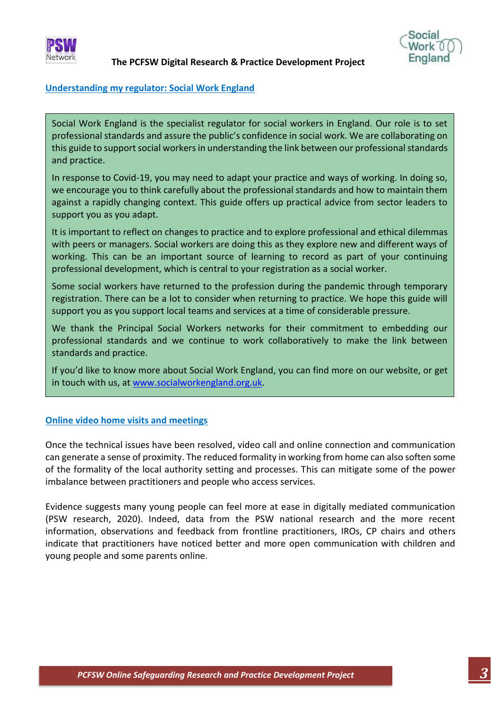



#### <span id="page-2-0"></span>**Understanding my regulator: Social Work England**

Social Work England is the specialist regulator for social workers in England. Our role is to set professional standards and assure the public's confidence in social work. We are collaborating on this guide to support social workers in understanding the link between our professional standards and practice.

In response to Covid-19, you may need to adapt your practice and ways of working. In doing so, we encourage you to think carefully about the professional standards and how to maintain them against a rapidly changing context. This guide offers up practical advice from sector leaders to support you as you adapt.

It is important to reflect on changes to practice and to explore professional and ethical dilemmas with peers or managers. Social workers are doing this as they explore new and different ways of working. This can be an important source of learning to record as part of your continuing professional development, which is central to your registration as a social worker.

Some social workers have returned to the profession during the pandemic through temporary registration. There can be a lot to consider when returning to practice. We hope this guide will support you as you support local teams and services at a time of considerable pressure.

We thank the Principal Social Workers networks for their commitment to embedding our professional standards and we continue to work collaboratively to make the link between standards and practice.

If you'd like to know more about Social Work England, you can find more on our website, or get in touch with us, at [www.socialworkengland.org.uk.](https://gbr01.safelinks.protection.outlook.com/?url=http%3A%2F%2Fwww.socialworkengland.org.uk%2F&data=02%7C01%7CKatie.Newbould%40socialworkengland.org.uk%7C905367c7c7a1411ea27608d7f100f7c8%7C687e5818d7b4485783d1ddad97154a74%7C0%7C0%7C637242858762306014&sdata=Gm10xidYWVNGdHkFOe1%2BCAWraO8kixMZkRnqujcttYw%3D&reserved=0)

#### <span id="page-2-1"></span>**Online video home visits and meetings**

Once the technical issues have been resolved, video call and online connection and communication can generate a sense of proximity. The reduced formality in working from home can also soften some of the formality of the local authority setting and processes. This can mitigate some of the power imbalance between practitioners and people who access services.

Evidence suggests many young people can feel more at ease in digitally mediated communication (PSW research, 2020). Indeed, data from the PSW national research and the more recent information, observations and feedback from frontline practitioners, IROs, CP chairs and others indicate that practitioners have noticed better and more open communication with children and young people and some parents online.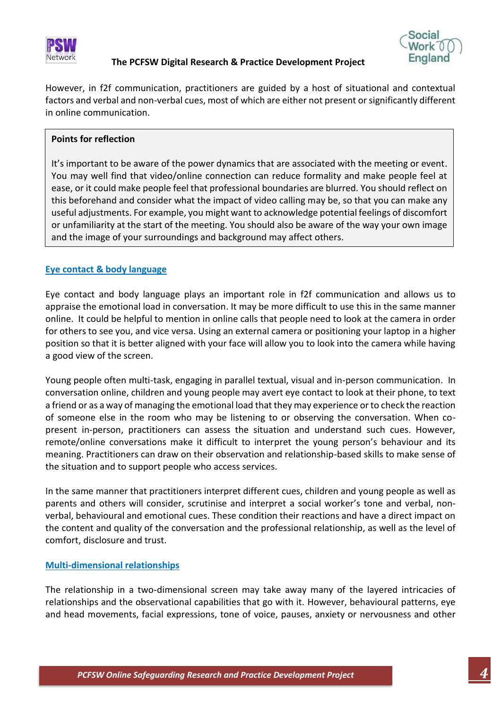



However, in f2f communication, practitioners are guided by a host of situational and contextual factors and verbal and non-verbal cues, most of which are either not present or significantly different in online communication.

## **Points for reflection**

It's important to be aware of the power dynamics that are associated with the meeting or event. You may well find that video/online connection can reduce formality and make people feel at ease, or it could make people feel that professional boundaries are blurred. You should reflect on this beforehand and consider what the impact of video calling may be, so that you can make any useful adjustments. For example, you might want to acknowledge potential feelings of discomfort or unfamiliarity at the start of the meeting. You should also be aware of the way your own image and the image of your surroundings and background may affect others.

## <span id="page-3-0"></span>**Eye contact & body language**

Eye contact and body language plays an important role in f2f communication and allows us to appraise the emotional load in conversation. It may be more difficult to use this in the same manner online. It could be helpful to mention in online calls that people need to look at the camera in order for others to see you, and vice versa. Using an external camera or positioning your laptop in a higher position so that it is better aligned with your face will allow you to look into the camera while having a good view of the screen.

Young people often multi-task, engaging in parallel textual, visual and in-person communication. In conversation online, children and young people may avert eye contact to look at their phone, to text a friend or as a way of managing the emotional load that they may experience or to check the reaction of someone else in the room who may be listening to or observing the conversation. When copresent in-person, practitioners can assess the situation and understand such cues. However, remote/online conversations make it difficult to interpret the young person's behaviour and its meaning. Practitioners can draw on their observation and relationship-based skills to make sense of the situation and to support people who access services.

In the same manner that practitioners interpret different cues, children and young people as well as parents and others will consider, scrutinise and interpret a social worker's tone and verbal, nonverbal, behavioural and emotional cues. These condition their reactions and have a direct impact on the content and quality of the conversation and the professional relationship, as well as the level of comfort, disclosure and trust.

## <span id="page-3-1"></span>**Multi-dimensional relationships**

The relationship in a two-dimensional screen may take away many of the layered intricacies of relationships and the observational capabilities that go with it. However, behavioural patterns, eye and head movements, facial expressions, tone of voice, pauses, anxiety or nervousness and other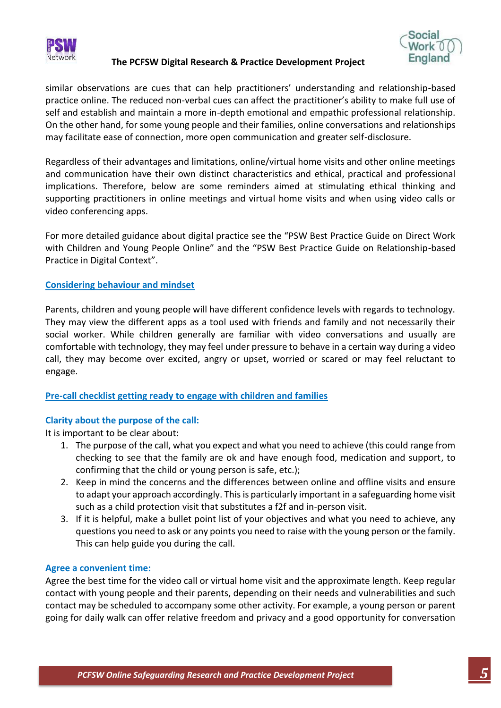





similar observations are cues that can help practitioners' understanding and relationship-based practice online. The reduced non-verbal cues can affect the practitioner's ability to make full use of self and establish and maintain a more in-depth emotional and empathic professional relationship. On the other hand, for some young people and their families, online conversations and relationships may facilitate ease of connection, more open communication and greater self-disclosure.

Regardless of their advantages and limitations, online/virtual home visits and other online meetings and communication have their own distinct characteristics and ethical, practical and professional implications. Therefore, below are some reminders aimed at stimulating ethical thinking and supporting practitioners in online meetings and virtual home visits and when using video calls or video conferencing apps.

For more detailed guidance about digital practice see the "PSW Best Practice Guide on Direct Work with Children and Young People Online" and the "PSW Best Practice Guide on Relationship-based Practice in Digital Context".

## <span id="page-4-0"></span>**Considering behaviour and mindset**

Parents, children and young people will have different confidence levels with regards to technology. They may view the different apps as a tool used with friends and family and not necessarily their social worker. While children generally are familiar with video conversations and usually are comfortable with technology, they may feel under pressure to behave in a certain way during a video call, they may become over excited, angry or upset, worried or scared or may feel reluctant to engage.

## <span id="page-4-1"></span>**Pre-call checklist getting ready to engage with children and families**

## <span id="page-4-2"></span>**Clarity about the purpose of the call:**

It is important to be clear about:

- 1. The purpose of the call, what you expect and what you need to achieve (this could range from checking to see that the family are ok and have enough food, medication and support, to confirming that the child or young person is safe, etc.);
- 2. Keep in mind the concerns and the differences between online and offline visits and ensure to adapt your approach accordingly. This is particularly important in a safeguarding home visit such as a child protection visit that substitutes a f2f and in-person visit.
- 3. If it is helpful, make a bullet point list of your objectives and what you need to achieve, any questions you need to ask or any points you need to raise with the young person or the family. This can help guide you during the call.

## <span id="page-4-3"></span>**Agree a convenient time:**

Agree the best time for the video call or virtual home visit and the approximate length. Keep regular contact with young people and their parents, depending on their needs and vulnerabilities and such contact may be scheduled to accompany some other activity. For example, a young person or parent going for daily walk can offer relative freedom and privacy and a good opportunity for conversation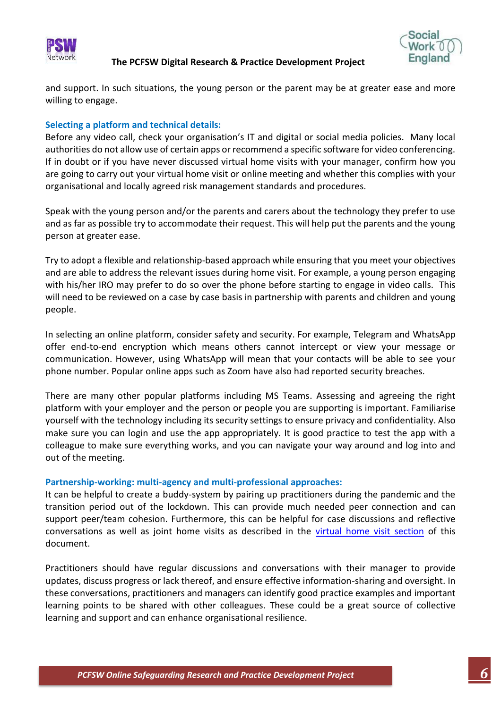



and support. In such situations, the young person or the parent may be at greater ease and more willing to engage.

#### <span id="page-5-0"></span>**Selecting a platform and technical details:**

Before any video call, check your organisation's IT and digital or social media policies. Many local authorities do not allow use of certain apps or recommend a specific software for video conferencing. If in doubt or if you have never discussed virtual home visits with your manager, confirm how you are going to carry out your virtual home visit or online meeting and whether this complies with your organisational and locally agreed risk management standards and procedures.

Speak with the young person and/or the parents and carers about the technology they prefer to use and as far as possible try to accommodate their request. This will help put the parents and the young person at greater ease.

Try to adopt a flexible and relationship-based approach while ensuring that you meet your objectives and are able to address the relevant issues during home visit. For example, a young person engaging with his/her IRO may prefer to do so over the phone before starting to engage in video calls. This will need to be reviewed on a case by case basis in partnership with parents and children and young people.

In selecting an online platform, consider safety and security. For example, Telegram and WhatsApp offer end-to-end encryption which means others cannot intercept or view your message or communication. However, using WhatsApp will mean that your contacts will be able to see your phone number. Popular online apps such as Zoom have also had reported security breaches.

There are many other popular platforms including MS Teams. Assessing and agreeing the right platform with your employer and the person or people you are supporting is important. Familiarise yourself with the technology including its security settings to ensure privacy and confidentiality. Also make sure you can login and use the app appropriately. It is good practice to test the app with a colleague to make sure everything works, and you can navigate your way around and log into and out of the meeting.

#### <span id="page-5-1"></span>**Partnership-working: multi-agency and multi-professional approaches:**

It can be helpful to create a buddy-system by pairing up practitioners during the pandemic and the transition period out of the lockdown. This can provide much needed peer connection and can support peer/team cohesion. Furthermore, this can be helpful for case discussions and reflective conversations as well as joint home visits as described in the [virtual home visit section](#page-10-1) of this document.

Practitioners should have regular discussions and conversations with their manager to provide updates, discuss progress or lack thereof, and ensure effective information-sharing and oversight. In these conversations, practitioners and managers can identify good practice examples and important learning points to be shared with other colleagues. These could be a great source of collective learning and support and can enhance organisational resilience.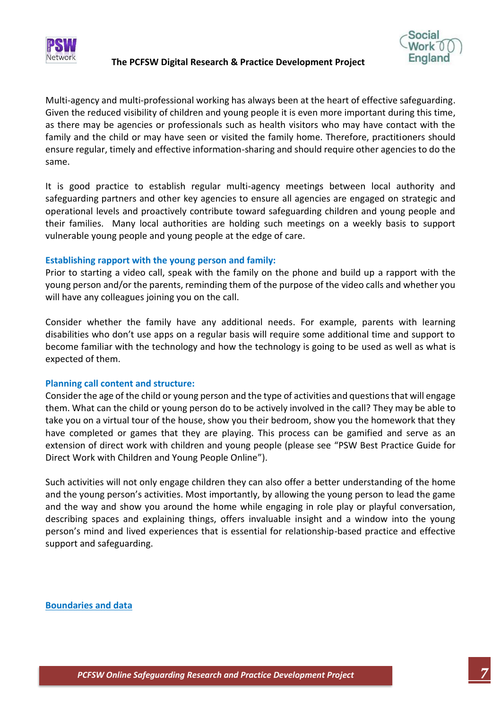



Multi-agency and multi-professional working has always been at the heart of effective safeguarding. Given the reduced visibility of children and young people it is even more important during this time, as there may be agencies or professionals such as health visitors who may have contact with the family and the child or may have seen or visited the family home. Therefore, practitioners should ensure regular, timely and effective information-sharing and should require other agencies to do the same.

It is good practice to establish regular multi-agency meetings between local authority and safeguarding partners and other key agencies to ensure all agencies are engaged on strategic and operational levels and proactively contribute toward safeguarding children and young people and their families. Many local authorities are holding such meetings on a weekly basis to support vulnerable young people and young people at the edge of care.

## <span id="page-6-0"></span>**Establishing rapport with the young person and family:**

Prior to starting a video call, speak with the family on the phone and build up a rapport with the young person and/or the parents, reminding them of the purpose of the video calls and whether you will have any colleagues joining you on the call.

Consider whether the family have any additional needs. For example, parents with learning disabilities who don't use apps on a regular basis will require some additional time and support to become familiar with the technology and how the technology is going to be used as well as what is expected of them.

#### <span id="page-6-1"></span>**Planning call content and structure:**

Consider the age of the child or young person and the type of activities and questions that will engage them. What can the child or young person do to be actively involved in the call? They may be able to take you on a virtual tour of the house, show you their bedroom, show you the homework that they have completed or games that they are playing. This process can be gamified and serve as an extension of direct work with children and young people (please see "PSW Best Practice Guide for Direct Work with Children and Young People Online").

Such activities will not only engage children they can also offer a better understanding of the home and the young person's activities. Most importantly, by allowing the young person to lead the game and the way and show you around the home while engaging in role play or playful conversation, describing spaces and explaining things, offers invaluable insight and a window into the young person's mind and lived experiences that is essential for relationship-based practice and effective support and safeguarding.

<span id="page-6-2"></span>**Boundaries and data**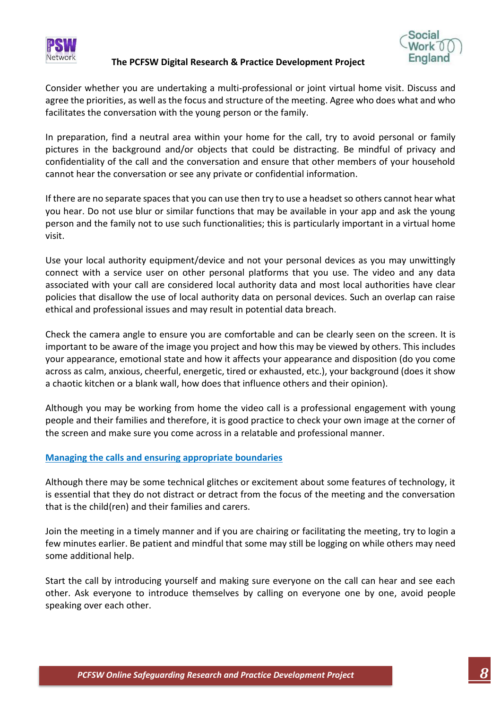



Consider whether you are undertaking a multi-professional or joint virtual home visit. Discuss and agree the priorities, as well as the focus and structure of the meeting. Agree who does what and who facilitates the conversation with the young person or the family.

In preparation, find a neutral area within your home for the call, try to avoid personal or family pictures in the background and/or objects that could be distracting. Be mindful of privacy and confidentiality of the call and the conversation and ensure that other members of your household cannot hear the conversation or see any private or confidential information.

If there are no separate spaces that you can use then try to use a headset so others cannot hear what you hear. Do not use blur or similar functions that may be available in your app and ask the young person and the family not to use such functionalities; this is particularly important in a virtual home visit.

Use your local authority equipment/device and not your personal devices as you may unwittingly connect with a service user on other personal platforms that you use. The video and any data associated with your call are considered local authority data and most local authorities have clear policies that disallow the use of local authority data on personal devices. Such an overlap can raise ethical and professional issues and may result in potential data breach.

Check the camera angle to ensure you are comfortable and can be clearly seen on the screen. It is important to be aware of the image you project and how this may be viewed by others. This includes your appearance, emotional state and how it affects your appearance and disposition (do you come across as calm, anxious, cheerful, energetic, tired or exhausted, etc.), your background (does it show a chaotic kitchen or a blank wall, how does that influence others and their opinion).

Although you may be working from home the video call is a professional engagement with young people and their families and therefore, it is good practice to check your own image at the corner of the screen and make sure you come across in a relatable and professional manner.

## <span id="page-7-0"></span>**Managing the calls and ensuring appropriate boundaries**

Although there may be some technical glitches or excitement about some features of technology, it is essential that they do not distract or detract from the focus of the meeting and the conversation that is the child(ren) and their families and carers.

Join the meeting in a timely manner and if you are chairing or facilitating the meeting, try to login a few minutes earlier. Be patient and mindful that some may still be logging on while others may need some additional help.

Start the call by introducing yourself and making sure everyone on the call can hear and see each other. Ask everyone to introduce themselves by calling on everyone one by one, avoid people speaking over each other.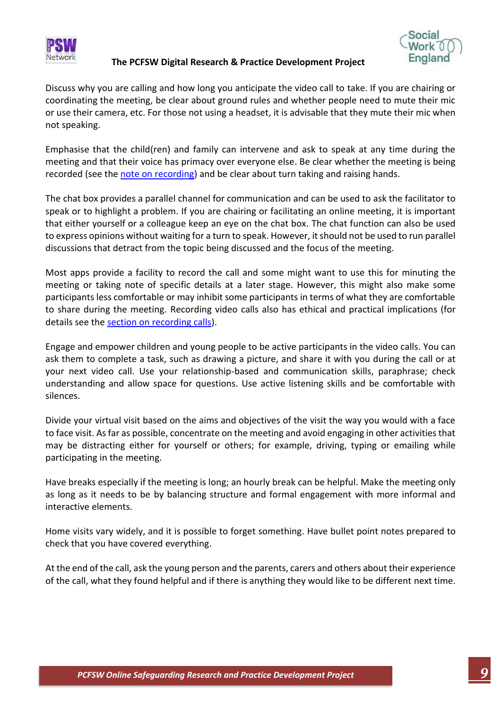



Discuss why you are calling and how long you anticipate the video call to take. If you are chairing or coordinating the meeting, be clear about ground rules and whether people need to mute their mic or use their camera, etc. For those not using a headset, it is advisable that they mute their mic when not speaking.

Emphasise that the child(ren) and family can intervene and ask to speak at any time during the meeting and that their voice has primacy over everyone else. Be clear whether the meeting is being recorded (see the [note on recording\)](#page-9-1) and be clear about turn taking and raising hands.

The chat box provides a parallel channel for communication and can be used to ask the facilitator to speak or to highlight a problem. If you are chairing or facilitating an online meeting, it is important that either yourself or a colleague keep an eye on the chat box. The chat function can also be used to express opinions without waiting for a turn to speak. However, it should not be used to run parallel discussions that detract from the topic being discussed and the focus of the meeting.

Most apps provide a facility to record the call and some might want to use this for minuting the meeting or taking note of specific details at a later stage. However, this might also make some participants less comfortable or may inhibit some participants in terms of what they are comfortable to share during the meeting. Recording video calls also has ethical and practical implications (for details see the [section on recording calls\)](#page-9-1).

Engage and empower children and young people to be active participants in the video calls. You can ask them to complete a task, such as drawing a picture, and share it with you during the call or at your next video call. Use your relationship-based and communication skills, paraphrase; check understanding and allow space for questions. Use active listening skills and be comfortable with silences.

Divide your virtual visit based on the aims and objectives of the visit the way you would with a face to face visit. As far as possible, concentrate on the meeting and avoid engaging in other activities that may be distracting either for yourself or others; for example, driving, typing or emailing while participating in the meeting.

Have breaks especially if the meeting is long; an hourly break can be helpful. Make the meeting only as long as it needs to be by balancing structure and formal engagement with more informal and interactive elements.

Home visits vary widely, and it is possible to forget something. Have bullet point notes prepared to check that you have covered everything.

At the end of the call, ask the young person and the parents, carers and others about their experience of the call, what they found helpful and if there is anything they would like to be different next time.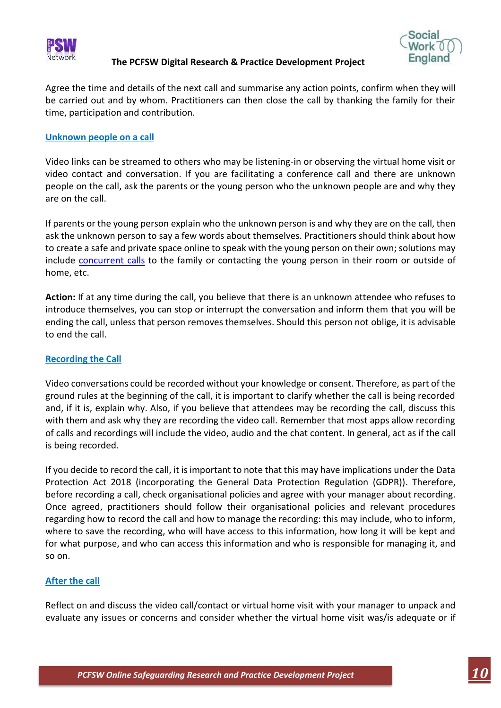



Agree the time and details of the next call and summarise any action points, confirm when they will be carried out and by whom. Practitioners can then close the call by thanking the family for their time, participation and contribution.

#### <span id="page-9-0"></span>**Unknown people on a call**

Video links can be streamed to others who may be listening-in or observing the virtual home visit or video contact and conversation. If you are facilitating a conference call and there are unknown people on the call, ask the parents or the young person who the unknown people are and why they are on the call.

If parents or the young person explain who the unknown person is and why they are on the call, then ask the unknown person to say a few words about themselves. Practitioners should think about how to create a safe and private space online to speak with the young person on their own; solutions may include [concurrent calls](#page-11-1) to the family or contacting the young person in their room or outside of home, etc.

**Action:** If at any time during the call, you believe that there is an unknown attendee who refuses to introduce themselves, you can stop or interrupt the conversation and inform them that you will be ending the call, unless that person removes themselves. Should this person not oblige, it is advisable to end the call.

## <span id="page-9-1"></span>**Recording the Call**

Video conversations could be recorded without your knowledge or consent. Therefore, as part of the ground rules at the beginning of the call, it is important to clarify whether the call is being recorded and, if it is, explain why. Also, if you believe that attendees may be recording the call, discuss this with them and ask why they are recording the video call. Remember that most apps allow recording of calls and recordings will include the video, audio and the chat content. In general, act as if the call is being recorded.

If you decide to record the call, it is important to note that this may have implications under the Data Protection Act 2018 (incorporating the General Data Protection Regulation (GDPR)). Therefore, before recording a call, check organisational policies and agree with your manager about recording. Once agreed, practitioners should follow their organisational policies and relevant procedures regarding how to record the call and how to manage the recording: this may include, who to inform, where to save the recording, who will have access to this information, how long it will be kept and for what purpose, and who can access this information and who is responsible for managing it, and so on.

## <span id="page-9-2"></span>**After the call**

Reflect on and discuss the video call/contact or virtual home visit with your manager to unpack and evaluate any issues or concerns and consider whether the virtual home visit was/is adequate or if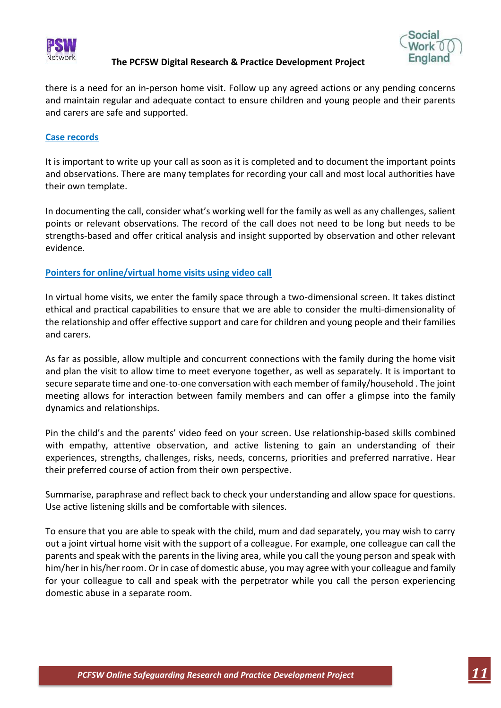

![](_page_10_Picture_2.jpeg)

there is a need for an in-person home visit. Follow up any agreed actions or any pending concerns and maintain regular and adequate contact to ensure children and young people and their parents and carers are safe and supported.

#### <span id="page-10-0"></span>**Case records**

It is important to write up your call as soon as it is completed and to document the important points and observations. There are many templates for recording your call and most local authorities have their own template.

In documenting the call, consider what's working well for the family as well as any challenges, salient points or relevant observations. The record of the call does not need to be long but needs to be strengths-based and offer critical analysis and insight supported by observation and other relevant evidence.

## <span id="page-10-1"></span>**Pointers for online/virtual home visits using video call**

In virtual home visits, we enter the family space through a two-dimensional screen. It takes distinct ethical and practical capabilities to ensure that we are able to consider the multi-dimensionality of the relationship and offer effective support and care for children and young people and their families and carers.

As far as possible, allow multiple and concurrent connections with the family during the home visit and plan the visit to allow time to meet everyone together, as well as separately. It is important to secure separate time and one-to-one conversation with each member of family/household . The joint meeting allows for interaction between family members and can offer a glimpse into the family dynamics and relationships.

Pin the child's and the parents' video feed on your screen. Use relationship-based skills combined with empathy, attentive observation, and active listening to gain an understanding of their experiences, strengths, challenges, risks, needs, concerns, priorities and preferred narrative. Hear their preferred course of action from their own perspective.

Summarise, paraphrase and reflect back to check your understanding and allow space for questions. Use active listening skills and be comfortable with silences.

To ensure that you are able to speak with the child, mum and dad separately, you may wish to carry out a joint virtual home visit with the support of a colleague. For example, one colleague can call the parents and speak with the parents in the living area, while you call the young person and speak with him/her in his/her room. Or in case of domestic abuse, you may agree with your colleague and family for your colleague to call and speak with the perpetrator while you call the person experiencing domestic abuse in a separate room.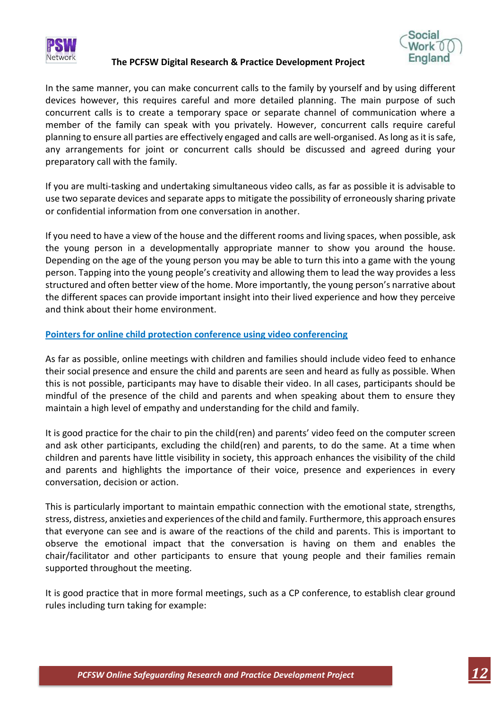![](_page_11_Picture_0.jpeg)

![](_page_11_Picture_1.jpeg)

![](_page_11_Picture_2.jpeg)

<span id="page-11-1"></span>In the same manner, you can make concurrent calls to the family by yourself and by using different devices however, this requires careful and more detailed planning. The main purpose of such concurrent calls is to create a temporary space or separate channel of communication where a member of the family can speak with you privately. However, concurrent calls require careful planning to ensure all parties are effectively engaged and calls are well-organised. As long as it is safe, any arrangements for joint or concurrent calls should be discussed and agreed during your preparatory call with the family.

If you are multi-tasking and undertaking simultaneous video calls, as far as possible it is advisable to use two separate devices and separate apps to mitigate the possibility of erroneously sharing private or confidential information from one conversation in another.

If you need to have a view of the house and the different rooms and living spaces, when possible, ask the young person in a developmentally appropriate manner to show you around the house. Depending on the age of the young person you may be able to turn this into a game with the young person. Tapping into the young people's creativity and allowing them to lead the way provides a less structured and often better view of the home. More importantly, the young person's narrative about the different spaces can provide important insight into their lived experience and how they perceive and think about their home environment.

## <span id="page-11-0"></span>**Pointers for online child protection conference using video conferencing**

As far as possible, online meetings with children and families should include video feed to enhance their social presence and ensure the child and parents are seen and heard as fully as possible. When this is not possible, participants may have to disable their video. In all cases, participants should be mindful of the presence of the child and parents and when speaking about them to ensure they maintain a high level of empathy and understanding for the child and family.

It is good practice for the chair to pin the child(ren) and parents' video feed on the computer screen and ask other participants, excluding the child(ren) and parents, to do the same. At a time when children and parents have little visibility in society, this approach enhances the visibility of the child and parents and highlights the importance of their voice, presence and experiences in every conversation, decision or action.

This is particularly important to maintain empathic connection with the emotional state, strengths, stress, distress, anxieties and experiences of the child and family. Furthermore, this approach ensures that everyone can see and is aware of the reactions of the child and parents. This is important to observe the emotional impact that the conversation is having on them and enables the chair/facilitator and other participants to ensure that young people and their families remain supported throughout the meeting.

It is good practice that in more formal meetings, such as a CP conference, to establish clear ground rules including turn taking for example: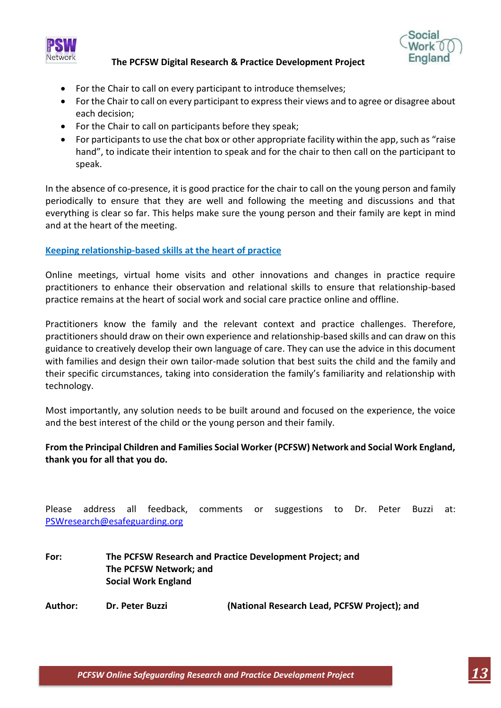![](_page_12_Picture_0.jpeg)

![](_page_12_Picture_1.jpeg)

- For the Chair to call on every participant to introduce themselves;
- For the Chair to call on every participant to express their views and to agree or disagree about each decision;
- For the Chair to call on participants before they speak;
- For participants to use the chat box or other appropriate facility within the app, such as "raise" hand", to indicate their intention to speak and for the chair to then call on the participant to speak.

In the absence of co-presence, it is good practice for the chair to call on the young person and family periodically to ensure that they are well and following the meeting and discussions and that everything is clear so far. This helps make sure the young person and their family are kept in mind and at the heart of the meeting.

## **Keeping relationship-based skills at the heart of practice**

Online meetings, virtual home visits and other innovations and changes in practice require practitioners to enhance their observation and relational skills to ensure that relationship-based practice remains at the heart of social work and social care practice online and offline.

Practitioners know the family and the relevant context and practice challenges. Therefore, practitioners should draw on their own experience and relationship-based skills and can draw on this guidance to creatively develop their own language of care. They can use the advice in this document with families and design their own tailor-made solution that best suits the child and the family and their specific circumstances, taking into consideration the family's familiarity and relationship with technology.

Most importantly, any solution needs to be built around and focused on the experience, the voice and the best interest of the child or the young person and their family.

## **From the Principal Children and Families Social Worker (PCFSW) Network and Social Work England, thank you for all that you do.**

| Please  |                                                                 |  | PSWresearch@esafeguarding.org | address all feedback, comments or |  | suggestions to Dr. Peter |  |  |  | Buzzi | at: |  |
|---------|-----------------------------------------------------------------|--|-------------------------------|-----------------------------------|--|--------------------------|--|--|--|-------|-----|--|
| For:    | The PCFSW Research and Practice Development Project; and        |  |                               |                                   |  |                          |  |  |  |       |     |  |
|         | The PCFSW Network; and<br><b>Social Work England</b>            |  |                               |                                   |  |                          |  |  |  |       |     |  |
| Author: | (National Research Lead, PCFSW Project); and<br>Dr. Peter Buzzi |  |                               |                                   |  |                          |  |  |  |       |     |  |